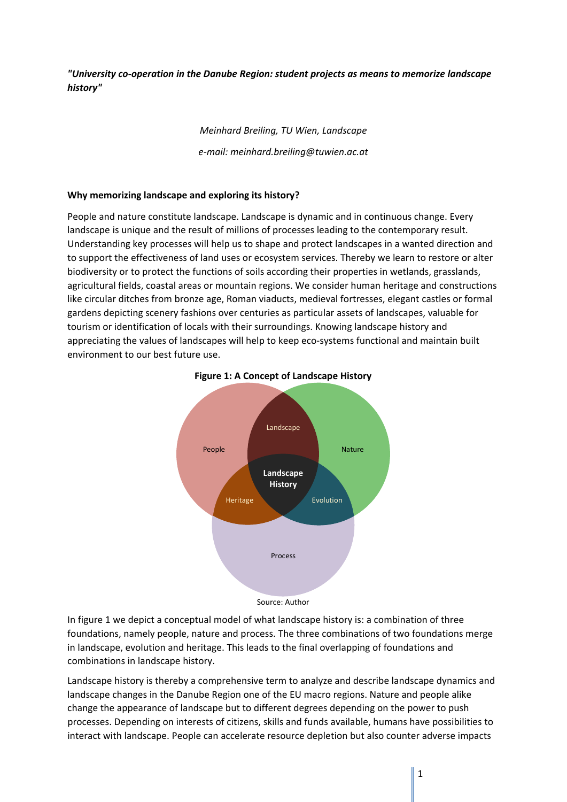*"University co‐operation in the Danube Region: student projects as means to memorize landscape history"* 

> *Meinhard Breiling, TU Wien, Landscape e‐mail: meinhard.breiling@tuwien.ac.at*

# **Why memorizing landscape and exploring its history?**

People and nature constitute landscape. Landscape is dynamic and in continuous change. Every landscape is unique and the result of millions of processes leading to the contemporary result. Understanding key processes will help us to shape and protect landscapes in a wanted direction and to support the effectiveness of land uses or ecosystem services. Thereby we learn to restore or alter biodiversity or to protect the functions of soils according their properties in wetlands, grasslands, agricultural fields, coastal areas or mountain regions. We consider human heritage and constructions like circular ditches from bronze age, Roman viaducts, medieval fortresses, elegant castles or formal gardens depicting scenery fashions over centuries as particular assets of landscapes, valuable for tourism or identification of locals with their surroundings. Knowing landscape history and appreciating the values of landscapes will help to keep eco-systems functional and maintain built environment to our best future use.



#### **Figure 1: A Concept of Landscape History**

Source: Author

In figure 1 we depict a conceptual model of what landscape history is: a combination of three foundations, namely people, nature and process. The three combinations of two foundations merge in landscape, evolution and heritage. This leads to the final overlapping of foundations and combinations in landscape history.

Landscape history is thereby a comprehensive term to analyze and describe landscape dynamics and landscape changes in the Danube Region one of the EU macro regions. Nature and people alike change the appearance of landscape but to different degrees depending on the power to push processes. Depending on interests of citizens, skills and funds available, humans have possibilities to interact with landscape. People can accelerate resource depletion but also counter adverse impacts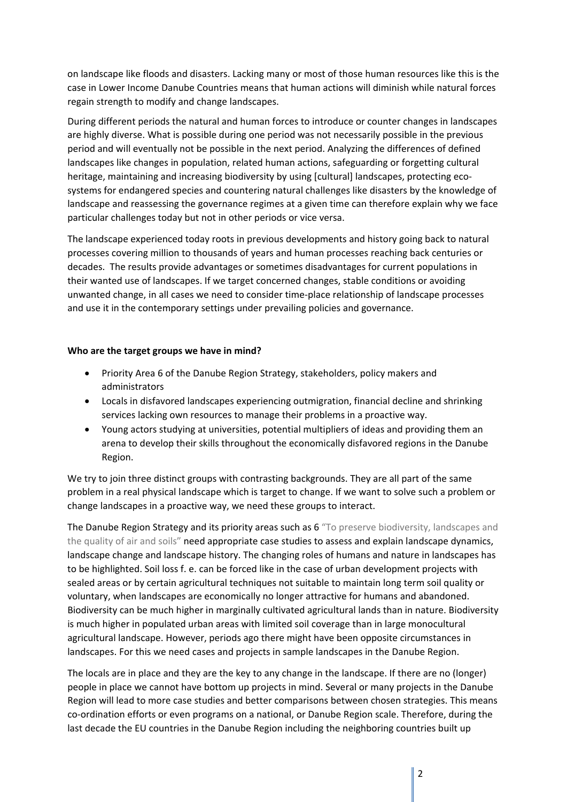on landscape like floods and disasters. Lacking many or most of those human resources like this is the case in Lower Income Danube Countries means that human actions will diminish while natural forces regain strength to modify and change landscapes.

During different periods the natural and human forces to introduce or counter changes in landscapes are highly diverse. What is possible during one period was not necessarily possible in the previous period and will eventually not be possible in the next period. Analyzing the differences of defined landscapes like changes in population, related human actions, safeguarding or forgetting cultural heritage, maintaining and increasing biodiversity by using [cultural] landscapes, protecting ecosystems for endangered species and countering natural challenges like disasters by the knowledge of landscape and reassessing the governance regimes at a given time can therefore explain why we face particular challenges today but not in other periods or vice versa.

The landscape experienced today roots in previous developments and history going back to natural processes covering million to thousands of years and human processes reaching back centuries or decades. The results provide advantages or sometimes disadvantages for current populations in their wanted use of landscapes. If we target concerned changes, stable conditions or avoiding unwanted change, in all cases we need to consider time‐place relationship of landscape processes and use it in the contemporary settings under prevailing policies and governance.

# **Who are the target groups we have in mind?**

- Priority Area 6 of the Danube Region Strategy, stakeholders, policy makers and administrators
- Locals in disfavored landscapes experiencing outmigration, financial decline and shrinking services lacking own resources to manage their problems in a proactive way.
- Young actors studying at universities, potential multipliers of ideas and providing them an arena to develop their skills throughout the economically disfavored regions in the Danube Region.

We try to join three distinct groups with contrasting backgrounds. They are all part of the same problem in a real physical landscape which is target to change. If we want to solve such a problem or change landscapes in a proactive way, we need these groups to interact.

The Danube Region Strategy and its priority areas such as 6 "To preserve biodiversity, landscapes and the quality of air and soils" need appropriate case studies to assess and explain landscape dynamics, landscape change and landscape history. The changing roles of humans and nature in landscapes has to be highlighted. Soil loss f. e. can be forced like in the case of urban development projects with sealed areas or by certain agricultural techniques not suitable to maintain long term soil quality or voluntary, when landscapes are economically no longer attractive for humans and abandoned. Biodiversity can be much higher in marginally cultivated agricultural lands than in nature. Biodiversity is much higher in populated urban areas with limited soil coverage than in large monocultural agricultural landscape. However, periods ago there might have been opposite circumstances in landscapes. For this we need cases and projects in sample landscapes in the Danube Region.

The locals are in place and they are the key to any change in the landscape. If there are no (longer) people in place we cannot have bottom up projects in mind. Several or many projects in the Danube Region will lead to more case studies and better comparisons between chosen strategies. This means co-ordination efforts or even programs on a national, or Danube Region scale. Therefore, during the last decade the EU countries in the Danube Region including the neighboring countries built up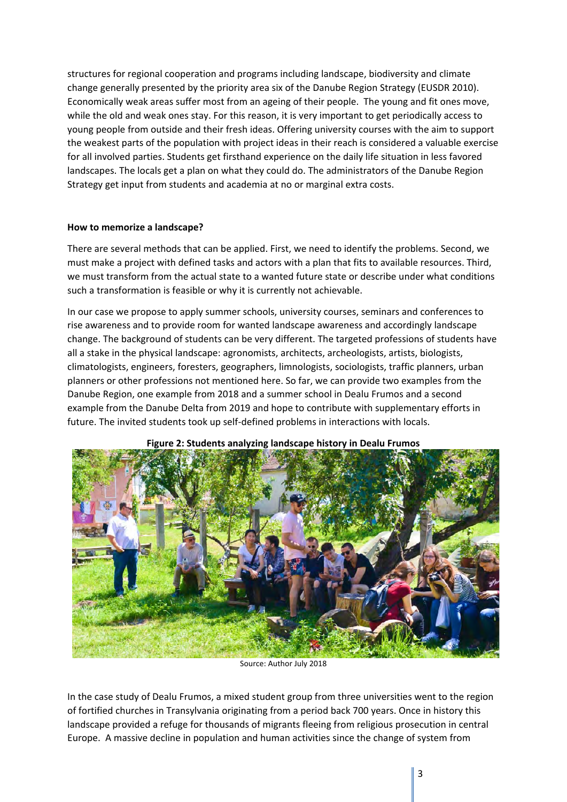structures for regional cooperation and programs including landscape, biodiversity and climate change generally presented by the priority area six of the Danube Region Strategy (EUSDR 2010). Economically weak areas suffer most from an ageing of their people. The young and fit ones move, while the old and weak ones stay. For this reason, it is very important to get periodically access to young people from outside and their fresh ideas. Offering university courses with the aim to support the weakest parts of the population with project ideas in their reach is considered a valuable exercise for all involved parties. Students get firsthand experience on the daily life situation in less favored landscapes. The locals get a plan on what they could do. The administrators of the Danube Region Strategy get input from students and academia at no or marginal extra costs.

## **How to memorize a landscape?**

There are several methods that can be applied. First, we need to identify the problems. Second, we must make a project with defined tasks and actors with a plan that fits to available resources. Third, we must transform from the actual state to a wanted future state or describe under what conditions such a transformation is feasible or why it is currently not achievable.

In our case we propose to apply summer schools, university courses, seminars and conferences to rise awareness and to provide room for wanted landscape awareness and accordingly landscape change. The background of students can be very different. The targeted professions of students have all a stake in the physical landscape: agronomists, architects, archeologists, artists, biologists, climatologists, engineers, foresters, geographers, limnologists, sociologists, traffic planners, urban planners or other professions not mentioned here. So far, we can provide two examples from the Danube Region, one example from 2018 and a summer school in Dealu Frumos and a second example from the Danube Delta from 2019 and hope to contribute with supplementary efforts in future. The invited students took up self‐defined problems in interactions with locals.



#### **Figure 2: Students analyzing landscape history in Dealu Frumos**

Source: Author July 2018

In the case study of Dealu Frumos, a mixed student group from three universities went to the region of fortified churches in Transylvania originating from a period back 700 years. Once in history this landscape provided a refuge for thousands of migrants fleeing from religious prosecution in central Europe. A massive decline in population and human activities since the change of system from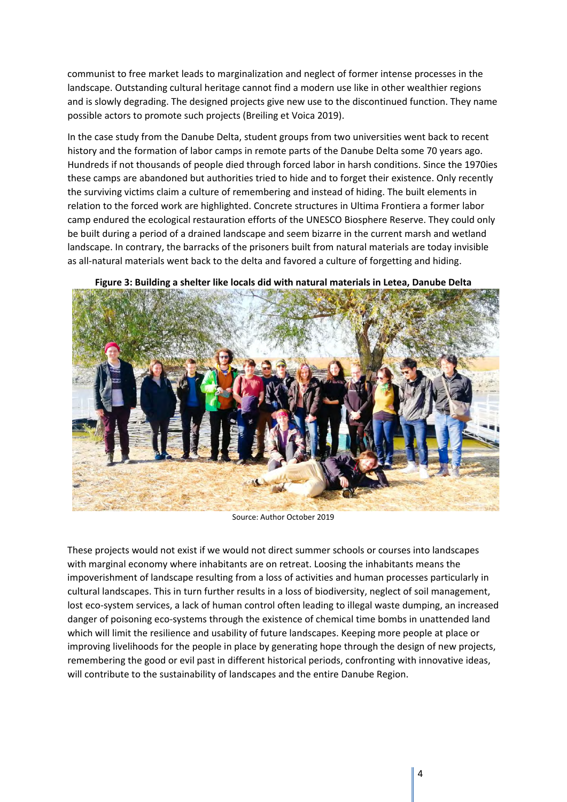communist to free market leads to marginalization and neglect of former intense processes in the landscape. Outstanding cultural heritage cannot find a modern use like in other wealthier regions and is slowly degrading. The designed projects give new use to the discontinued function. They name possible actors to promote such projects (Breiling et Voica 2019).

In the case study from the Danube Delta, student groups from two universities went back to recent history and the formation of labor camps in remote parts of the Danube Delta some 70 years ago. Hundreds if not thousands of people died through forced labor in harsh conditions. Since the 1970ies these camps are abandoned but authorities tried to hide and to forget their existence. Only recently the surviving victims claim a culture of remembering and instead of hiding. The built elements in relation to the forced work are highlighted. Concrete structures in Ultima Frontiera a former labor camp endured the ecological restauration efforts of the UNESCO Biosphere Reserve. They could only be built during a period of a drained landscape and seem bizarre in the current marsh and wetland landscape. In contrary, the barracks of the prisoners built from natural materials are today invisible as all‐natural materials went back to the delta and favored a culture of forgetting and hiding.



**Figure 3: Building a shelter like locals did with natural materials in Letea, Danube Delta** 

Source: Author October 2019

These projects would not exist if we would not direct summer schools or courses into landscapes with marginal economy where inhabitants are on retreat. Loosing the inhabitants means the impoverishment of landscape resulting from a loss of activities and human processes particularly in cultural landscapes. This in turn further results in a loss of biodiversity, neglect of soil management, lost eco-system services, a lack of human control often leading to illegal waste dumping, an increased danger of poisoning eco-systems through the existence of chemical time bombs in unattended land which will limit the resilience and usability of future landscapes. Keeping more people at place or improving livelihoods for the people in place by generating hope through the design of new projects, remembering the good or evil past in different historical periods, confronting with innovative ideas, will contribute to the sustainability of landscapes and the entire Danube Region.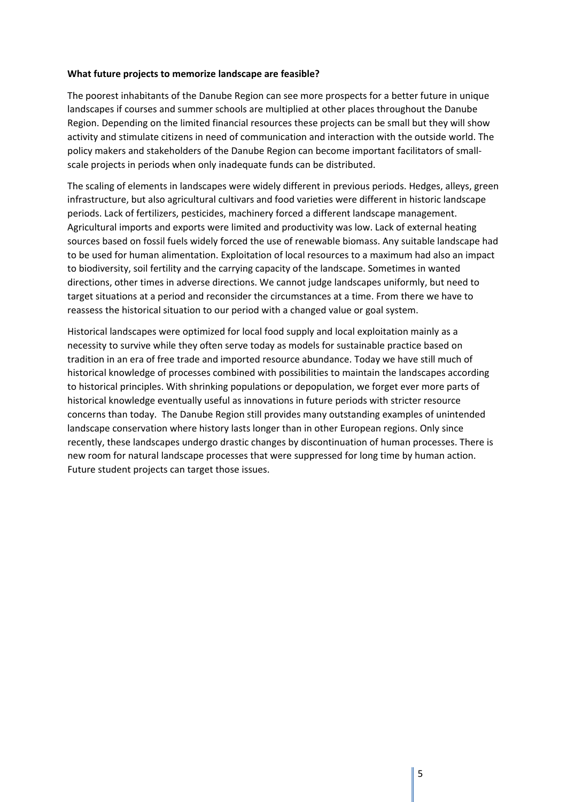### **What future projects to memorize landscape are feasible?**

The poorest inhabitants of the Danube Region can see more prospects for a better future in unique landscapes if courses and summer schools are multiplied at other places throughout the Danube Region. Depending on the limited financial resources these projects can be small but they will show activity and stimulate citizens in need of communication and interaction with the outside world. The policy makers and stakeholders of the Danube Region can become important facilitators of smallscale projects in periods when only inadequate funds can be distributed.

The scaling of elements in landscapes were widely different in previous periods. Hedges, alleys, green infrastructure, but also agricultural cultivars and food varieties were different in historic landscape periods. Lack of fertilizers, pesticides, machinery forced a different landscape management. Agricultural imports and exports were limited and productivity was low. Lack of external heating sources based on fossil fuels widely forced the use of renewable biomass. Any suitable landscape had to be used for human alimentation. Exploitation of local resources to a maximum had also an impact to biodiversity, soil fertility and the carrying capacity of the landscape. Sometimes in wanted directions, other times in adverse directions. We cannot judge landscapes uniformly, but need to target situations at a period and reconsider the circumstances at a time. From there we have to reassess the historical situation to our period with a changed value or goal system.

Historical landscapes were optimized for local food supply and local exploitation mainly as a necessity to survive while they often serve today as models for sustainable practice based on tradition in an era of free trade and imported resource abundance. Today we have still much of historical knowledge of processes combined with possibilities to maintain the landscapes according to historical principles. With shrinking populations or depopulation, we forget ever more parts of historical knowledge eventually useful as innovations in future periods with stricter resource concerns than today. The Danube Region still provides many outstanding examples of unintended landscape conservation where history lasts longer than in other European regions. Only since recently, these landscapes undergo drastic changes by discontinuation of human processes. There is new room for natural landscape processes that were suppressed for long time by human action. Future student projects can target those issues.